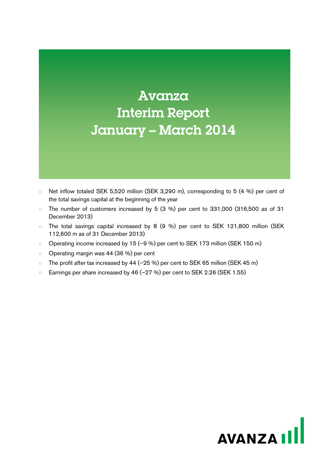# Avanza Interim Report January – March 2014

- □ Net inflow totaled SEK 5,520 million (SEK 3,290 m), corresponding to 5 (4 %) per cent of the total savings capital at the beginning of the year
- $\Box$  The number of customers increased by 5 (3 %) per cent to 331,000 (316,500 as of 31 December 2013)
- □ The total savings capital increased by 8 (9 %) per cent to SEK 121,800 million (SEK 112,600 m as of 31 December 2013)
- □ Operating income increased by 15 (–9 %) per cent to SEK 173 million (SEK 150 m)
- □ Operating margin was 44 (36 %) per cent
- □ The profit after tax increased by 44 (–25 %) per cent to SEK 65 million (SEK 45 m)
- □ Earnings per share increased by 46 (–27 %) per cent to SEK 2.26 (SEK 1.55)

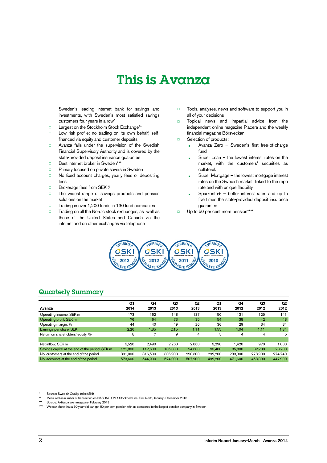# This is Avanza

- □ Sweden's leading internet bank for savings and investments, with Sweden's most satisfied savings customers four years in a row\*
- □ Largest on the Stockholm Stock Exchange\*\*
- □ Low risk profile; no trading on its own behalf, selffinanced via equity and customer deposits
- □ Avanza falls under the supervision of the Swedish Financial Supervisory Authority and is covered by the state-provided deposit insurance guarantee
- □ Best internet broker in Sweden\*\*
- □ Primary focused on private savers in Sweden
- □ No fixed account charges, yearly fees or depositing fees
- □ Brokerage fees from SEK 7
- □ The widest range of savings products and pension solutions on the market
- □ Trading in over 1,200 funds in 130 fund companies
- □ Trading on all the Nordic stock exchanges, as well as those of the United States and Canada via the internet and on other exchanges via telephone
- □ Tools, analyses, news and software to support you in all of your decisions
- □ Topical news and impartial advice from the independent online magazine Placera and the weekly financial magazine Börsveckan
- □ Selection of products:
	- Avanza Zero Sweden's first free-of-charge fund
	- Super Loan  $-$  the lowest interest rates on the market, with the customers' securities as collateral.
	- Super Mortgage the lowest mortgage interest rates on the Swedish market, linked to the repo rate and with unique flexibility
	- Sparkonto+  $-$  better interest rates and up to five times the state-provided deposit insurance guarantee
- □ Up to 50 per cent more pension\*\*\*\*



## Quarterly Summary

|                                                 | Q1      | Q4      | Q3      | Q2      | Q1      | Q4      | Q3      | Q <sub>2</sub> |
|-------------------------------------------------|---------|---------|---------|---------|---------|---------|---------|----------------|
| Avanza                                          | 2014    | 2013    | 2013    | 2013    | 2013    | 2012    | 2012    | 2012           |
| Operating income, SEK m                         | 173     | 162     | 148     | 137     | 150     | 131     | 125     | 141            |
| Operating profit, SEK m                         | 76      | 64      | 73      | 35      | 54      | 38      | 42      | 48             |
| Operating margin, %                             | 44      | 40      | 49      | 26      | 36      | 29      | 34      | 34             |
| Earnings per share, SEK                         | 2.26    | 1.85    | 2.15    | 1.11    | 1.55    | 1.04    | 1.11    | 1.34           |
| Return on shareholders' equity, %               | 8       |         | 9       | 4       | 5       | 4       | 4       | 5              |
|                                                 |         |         |         |         |         |         |         |                |
| Net inflow. SEK m                               | 5.520   | 2.490   | 2.260   | 2.860   | 3,290   | 1.420   | 970     | 1.080          |
| Savings capital at the end of the period, SEK m | 121.800 | 112.600 | 105.000 | 94.600  | 93.400  | 85,800  | 82.200  | 78.700         |
| No. customers at the end of the period          | 331.000 | 316,500 | 306,900 | 298,300 | 292.200 | 283.300 | 278.900 | 274,740        |
| No. accounts at the end of the period           | 573,600 | 544.900 | 524.000 | 507.200 | 492.200 | 471,600 | 458,800 | 447,900        |

Source: Swedish Quality Index (SKI)

\*\* Measured as number of transaction on NASDAQ OMX Stockholm incl First North, January–December 2013

Source: Aktiespararen magazine, February 2013

We can show that a 30-year-old can get 50 per cent pension with us compared to the largest pension company in Sweden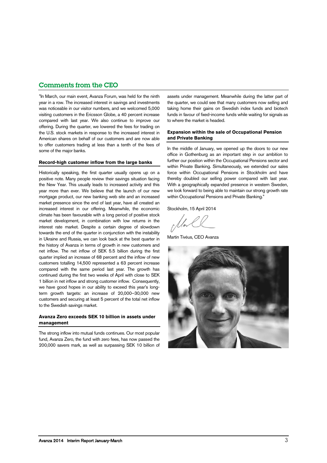## Comments from the CEO

"In March, our main event, Avanza Forum, was held for the ninth year in a row. The increased interest in savings and investments was noticeable in our visitor numbers, and we welcomed 5,000 visiting customers in the Ericsson Globe, a 40 percent increase compared with last year. We also continue to improve our offering. During the quarter, we lowered the fees for trading on the U.S. stock markets in response to the increased interest in American shares on behalf of our customers and are now able to offer customers trading at less than a tenth of the fees of some of the major banks.

#### **Record-high customer inflow from the large banks**

Historically speaking, the first quarter usually opens up on a positive note. Many people review their savings situation facing the New Year. This usually leads to increased activity and this year more than ever. We believe that the launch of our new mortgage product, our new banking web site and an increased market presence since the end of last year, have all created an increased interest in our offering. Meanwhile, the economic climate has been favourable with a long period of positive stock market development, in combination with low returns in the interest rate market. Despite a certain degree of slowdown towards the end of the quarter in conjunction with the instability in Ukraine and Russia, we can look back at the best quarter in the history of Avanza in terms of growth in new customers and net inflow. The net inflow of SEK 5.5 billion during the first quarter implied an increase of 68 percent and the inflow of new customers totalling 14,500 represented a 63 percent increase compared with the same period last year. The growth has continued during the first two weeks of April with close to SEK 1 billion in net inflow and strong customer inflow. Consequently, we have good hopes in our ability to exceed this year's longterm growth targets: an increase of 20,000–30,000 new customers and securing at least 5 percent of the total net inflow to the Swedish savings market.

#### **Avanza Zero exceeds SEK 10 billion in assets under management**

The strong inflow into mutual funds continues. Our most popular fund, Avanza Zero, the fund with zero fees, has now passed the 200,000 savers mark, as well as surpassing SEK 10 billion of assets under management. Meanwhile during the latter part of the quarter, we could see that many customers now selling and taking home their gains on Swedish index funds and biotech funds in favour of fixed-income funds while waiting for signals as to where the market is headed.

#### **Expansion within the sale of Occupational Pension and Private Banking**

In the middle of January, we opened up the doors to our new office in Gothenburg as an important step in our ambition to further our position within the Occupational Pensions sector and within Private Banking. Simultaneously, we extended our sales force within Occupational Pensions in Stockholm and have thereby doubled our selling power compared with last year. With a geographically expanded presence in western Sweden, we look forward to being able to maintain our strong growth rate within Occupational Pensions and Private Banking."

Stockholm, 15 April 2014

Martin Tivéus, CEO Avanza

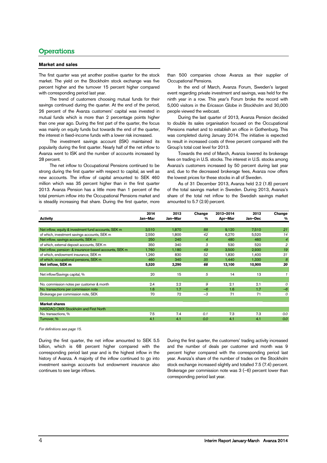## **Operations**

#### **Market and sales**

The first quarter was yet another positive quarter for the stock market. The yield on the Stockholm stock exchange was five percent higher and the turnover 15 percent higher compared with corresponding period last year.

The trend of customers choosing mutual funds for their savings continued during the quarter. At the end of the period, 26 percent of the Avanza customers' capital was invested in mutual funds which is more than 2 percentage points higher than one year ago. During the first part of the quarter, the focus was mainly on equity funds but towards the end of the quarter, the interest in fixed-income funds with a lower risk increased.

The investment savings account (ISK) maintained its popularity during the first quarter. Nearly half of the net inflow to Avanza went to ISK and the number of accounts increased by 28 percent.

The net inflow to Occupational Pensions continued to be strong during the first quarter with respect to capital, as well as new accounts. The inflow of capital amounted to SEK 460 million which was 35 percent higher than in the first quarter 2013. Avanza Pension has a little more than 1 percent of the total premium inflow into the Occupational Pensions market and is steadily increasing that share. During the first quarter, more

than 500 companies chose Avanza as their supplier of Occupational Pensions.

In the end of March, Avanza Forum, Sweden's largest event regarding private investment and savings, was held for the ninth year in a row. This year's Forum broke the record with 5,000 visitors in the Ericsson Globe in Stockholm and 30,000 people viewed the webcast.

During the last quarter of 2013, Avanza Pension decided to double its sales organisation focused on the Occupational Pensions market and to establish an office in Gothenburg. This was completed during January 2014. The initiative is expected to result in increased costs of three percent compared with the Group's total cost level for 2013.

Towards the end of March, Avanza lowered its brokerage fees on trading in U.S. stocks. The interest in U.S. stocks among Avanza's customers increased by 50 percent during last year and, due to the decreased brokerage fees, Avanza now offers the lowest prices for these stocks in all of Sweden.

As of 31 December 2013, Avanza held 2.2 (1.8) percent of the total savings market in Sweden. During 2013, Avanza's share of the total net inflow to the Swedish savings market amounted to 5.7 (2.9) percent.

|                                                        | 2014    | 2013    | Change         | 2013-2014 | 2013    | Change         |
|--------------------------------------------------------|---------|---------|----------------|-----------|---------|----------------|
| <b>Activity</b>                                        | Jan-Mar | Jan-Mar | %              | Apr-Mar   | Jan-Dec | %              |
|                                                        |         |         |                |           |         |                |
| Net inflow, equity & investment fund accounts, SEK m   | 3,510   | 1,870   | 88             | 9,120     | 7,510   | 21             |
| of which, investment savings accounts, SEK m           | 2,550   | 1,800   | 42             | 6,270     | 5,520   | 14             |
| Net inflow, savings accounts, SEK m                    | 250     | 240     | $\overline{4}$ | 480       | 460     | $\overline{4}$ |
| of which, external deposit accounts, SEK m             | 350     | 340     | 3              | 530       | 520     | $\overline{2}$ |
| Net inflow, pension- & insurance-based accounts, SEK m | 1,760   | 1,180   | 49             | 3,500     | 2,930   | 19             |
| of which, endowment insurance, SEK m                   | 1,260   | 830     | 52             | 1,830     | 1,400   | 31             |
| of which, occupational pensions, SEK m                 | 460     | 340     | 35             | 1,440     | 1,330   | 8              |
| Net inflow, SEK m                                      | 5,520   | 3,290   | 68             | 13,100    | 10,900  | 20             |
|                                                        |         |         |                |           |         |                |
| Net inflow/Savings capital, %                          | 20      | 15      | 5              | 14        | 13      | $\mathbf{1}$   |
|                                                        |         |         |                |           |         |                |
| No. commission notes per customer & month              | 2.4     | 2.2     | 9              | 2.1       | 2.1     | $\Omega$       |
| No. transactions per commission note                   | 1.6     | 1.7     | $-6$           | 1.6       | 1.7     | $-6$           |
| Brokerage per commission note, SEK                     | 70      | 72      | $-3$           | 71        | 71      | $\Omega$       |
|                                                        |         |         |                |           |         |                |
| <b>Market shares</b>                                   |         |         |                |           |         |                |
| NASDAQ OMX Stockholm and First North                   |         |         |                |           |         |                |
| No. transactions, %                                    | 7.5     | 7.4     | 0.1            | 7.3       | 7.3     | 0.0            |
| Turnover, %                                            | 4.1     | 4.1     | 0.0            | 4.1       | 4.1     | 0.0            |

*For definitions see page [15.](#page-14-0)*

During the first quarter, the net inflow amounted to SEK 5.5 billion, which is 68 percent higher compared with the corresponding period last year and is the highest inflow in the history of Avanza. A majority of the inflow continued to go into investment savings accounts but endowment insurance also continues to see large inflows.

During the first quarter, the customers' trading activity increased and the number of deals per customer and month was 9 percent higher compared with the corresponding period last year. Avanza's share of the number of trades on the Stockholm stock exchange increased slightly and totalled 7.5 (7.4) percent. Brokerage per commission note was 3 (–6) percent lower than corresponding period last year.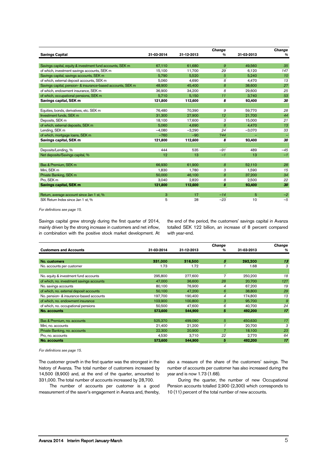|                                                             |            |            | Change       |            | Change |
|-------------------------------------------------------------|------------|------------|--------------|------------|--------|
| <b>Savings Capital</b>                                      | 31-03-2014 | 31-12-2013 | $\%$         | 31-03-2013 | %      |
|                                                             |            |            |              |            |        |
| Savings capital, equity & investment fund accounts, SEK m   | 67,110     | 61.680     | $\mathbf{9}$ | 49.560     | 35     |
| of which, investment savings accounts, SEK m                | 15,100     | 11,700     | 29           | 6,120      | 147    |
| Savings capital, savings accounts, SEK m                    | 5.790      | 5.520      | 5            | 5.240      | 10     |
| of which, external deposit accounts, SEK m                  | 5,060      | 4.690      | 8            | 4.470      | 13     |
| Savings capital, pension- & insurance-based accounts, SEK m | 48.900     | 45.400     | 8            | 38.600     | 27     |
| of which, endowment insurance, SEK m                        | 36,900     | 34,200     | 8            | 29,600     | 25     |
| of which, occupational pensions, SEK m                      | 5,710      | 5,150      | 11           | 3,740      | 53     |
| Savings capital, SEK m                                      | 121,800    | 112,600    | 8            | 93,400     | 30     |
|                                                             |            |            |              |            |        |
| Equities, bonds, derivatives, etc. SEK m                    | 76.480     | 70.390     | 9            | 59.770     | 28     |
| Investment funds, SEK m                                     | 31,300     | 27,900     | 12           | 21,700     | 44     |
| Deposits, SEK m                                             | 18,100     | 17.600     | 3            | 15.000     | 21     |
| of which, external deposits, SEK m                          | 5.060      | 4.690      | 8            | 4.470      | 13     |
| Lending, SEK m                                              | $-4,080$   | $-3,290$   | 24           | $-3,070$   | 33     |
| of which, mortgage loans, SEK m                             | $-760$     | $-90$      | 744          |            |        |
| Savings capital, SEK m                                      | 121,800    | 112,600    | 8            | 93,400     | 30     |
|                                                             |            |            |              |            |        |
| Deposits/Lending, %                                         | 444        | 535        | $-91$        | 489        | $-45$  |
| Net deposits/Savings capital, %                             | 12         | 13         | $-1$         | 13         | $-1$   |
|                                                             |            |            |              |            |        |
| Bas & Premium, SEK m                                        | 66,930     | 61,900     | 8            | 52,110     | 28     |
| Mini, SEK m                                                 | 1.830      | 1.780      | 3            | 1.590      | 15     |
| Private Banking, SEK m                                      | 50,000     | 46,100     | 8            | 37,200     | 34     |
| Pro. SEK m                                                  | 3.040      | 2.820      | 8            | 2,500      | 22     |
| Savings capital, SEK m                                      | 121,800    | 112,600    | 8            | 93,400     | 30     |
|                                                             |            |            |              |            |        |
| Return, average account since Jan 1 st, %                   | 3          | 17         | $-14$        | 5          | $-2$   |
| SIX Return Index since Jan 1 st. %                          | 5          | 28         | $-23$        | 10         | $-5$   |

*For definitions see page [15.](#page-14-0)*

Savings capital grew strongly during the first quarter of 2014, mainly driven by the strong increase in customers and net inflow, in combination with the positive stock market development. At the end of the period, the customers' savings capital in Avanza totalled SEK 122 billion, an increase of 8 percent compared with year-end.

|                                           |            |            | <b>Change</b> |            | <b>Change</b> |
|-------------------------------------------|------------|------------|---------------|------------|---------------|
| <b>Customers and Accounts</b>             | 31-03-2014 | 31-12-2013 | %             | 31-03-2013 | %             |
|                                           |            |            |               |            |               |
| No. customers                             | 331,000    | 316,500    | Б             | 292,200    | 13            |
| No. accounts per customer                 | 1.73       | 1.72       |               | 1.68       | 3             |
|                                           |            |            |               |            |               |
| No. equity & investment fund accounts     | 295,800    | 277,600    | 7             | 250,200    | 18            |
| of which, no. investment savings accounts | 47,000     | 36,600     | 28            | 20,700     | 127           |
| No. savings accounts                      | 80,100     | 76.900     | 4             | 67,200     | 19            |
| of which, no. external deposit accounts   | 50,100     | 47.200     | 6             | 38,800     | 29            |
| No. pension- & insurance-based accounts   | 197,700    | 190,400    | 4             | 174,800    | 13            |
| of which, no. endowment insurance         | 103.900    | 100.800    | 3             | 95,700     | 9             |
| of which, no. occupational pensions       | 50,500     | 47.600     | 6             | 40,700     | 24            |
| No. accounts                              | 573,600    | 544.900    | 5             | 492.200    | 17            |
|                                           |            |            |               |            |               |
| Bas & Premium, no. accounts               | 525,370    | 499,090    | 5             | 450,630    | 17            |
| Mini, no. accounts                        | 21.400     | 21,200     |               | 20,700     | 3             |
| Private Banking, no. accounts             | 22,300     | 20.900     | 7             | 18,100     | 23            |
| Pro, no. accounts                         | 4,530      | 3,710      | 22            | 2,770      | 64            |
| No. accounts                              | 573,600    | 544.900    | 5             | 492.200    | 17            |

*For definitions see page [15.](#page-14-0)*

The customer growth in the first quarter was the strongest in the history of Avanza. The total number of customers increased by 14,500 (8,900) and, at the end of the quarter, amounted to 331,000. The total number of accounts increased by 28,700.

The number of accounts per customer is a good measurement of the saver's engagement in Avanza and, thereby,

also a measure of the share of the customers' savings. The number of accounts per customer has also increased during the year and is now 1.73 (1.68).

During the quarter, the number of new Occupational Pension accounts totalled 2,900 (2,300) which corresponds to 10 (11) percent of the total number of new accounts.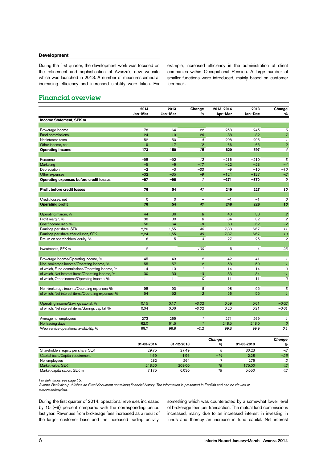#### **Development**

During the first quarter, the development work was focused on the refinement and sophistication of Avanza's new website which was launched in 2013. A number of measures aimed at increasing efficiency and increased stability were taken. For

example, increased efficiency in the administration of client companies within Occupational Pension. A large number of smaller functions were introduced, mainly based on customer feedback.

### Financial overview

|                                                    | 2014<br>Jan-Mar | 2013<br>Jan-Mar | Change<br>%              | 2013-2014<br>Apr-Mar | 2013<br>Jan-Dec | Change<br>%      |
|----------------------------------------------------|-----------------|-----------------|--------------------------|----------------------|-----------------|------------------|
| Income Statement, SEK m                            |                 |                 |                          |                      |                 |                  |
|                                                    |                 |                 |                          |                      |                 |                  |
| Brokerage income                                   | 78              | 64              | 22                       | 258                  | 245             | 5                |
| <b>Fund commissions</b>                            | 24              | 19              | 26                       | 88                   | 82              | $\overline{7}$   |
| Net interest items                                 | 52              | 50              | $\overline{4}$           | 208                  | 205             | $\mathcal I$     |
| Other income, net                                  | 19              | 17              | 12                       | 66                   | 65              | $\overline{2}$   |
| <b>Operating income</b>                            | 173             | 150             | 15                       | 620                  | 597             | 4                |
|                                                    |                 |                 |                          |                      |                 |                  |
| Personnel                                          | $-58$           | $-52$           | 12                       | $-216$               | $-210$          | 3                |
| Marketing                                          | $-5$            | $-6$            | $-17$                    | $-22$                | $-23$           | $-4$             |
| Depreciation                                       | $-2$            | $-3$            | $-33$                    | $-9$                 | $-10$           | $-10$            |
| Other expenses                                     | $-32$           | $-35$           | $-9$                     | $-124$               | $-127$          | $-2$             |
| Operating expenses before credit losses            | $-97$           | $-96$           | $\mathbf{1}$             | $-371$               | $-370$          | 0                |
| <b>Profit before credit losses</b>                 | 76              | 54              | 41                       | 249                  | 227             | 10               |
|                                                    |                 |                 |                          |                      |                 |                  |
| Credit losses, net                                 | $\mathbf 0$     | $\Omega$        | $\overline{\phantom{0}}$ | $-1$                 | $-1$            | $\mathcal{O}$    |
| <b>Operating profit</b>                            | 76              | 54              | 41                       | 248                  | 226             | 10               |
| Operating margin, %                                | 44              | 36              | 8                        | 40                   | 38              | $\overline{2}$   |
| Profit margin, %                                   | 38              | 30              | 8                        | 34                   | 32              | $\overline{2}$   |
| Cost/income ratio, %                               | 56              | 64              | $-8$                     | 60                   | 62              | $-2$             |
| Earnings per share, SEK                            | 2,26            | 1,55            | 46                       | 7,38                 | 6,67            | 11               |
| Earnings per share after dilution, SEK             | 2.24            | 1.55            | 45                       | 7,37                 | 6.67            | 10 <sub>10</sub> |
| Return on shareholders' equity, %                  | 8               | 5               | 3                        | 27                   | 25              | $\overline{2}$   |
|                                                    |                 |                 |                          |                      |                 |                  |
| Investments, SEK m                                 | $\overline{2}$  | $\mathbf{1}$    | 100                      | 5                    | 4               | 25               |
|                                                    |                 |                 |                          |                      |                 |                  |
| Brokerage income/Operating income, %               | 45              | 43              | $\overline{2}$           | 42                   | 41              | $\mathcal{I}$    |
| Non-brokerage income/Operating income, %           | 55              | 57              | $-2$                     | 58                   | 59              | $-1$             |
| of which, Fund commissions/Operating income, %     | 14              | 13              | $\mathbf{1}$             | 14                   | 14              | $\overline{O}$   |
| of which, Net interest items/Operating income, %   | 30              | 33              | $-3$                     | 33                   | 34              | $-1$             |
| of which, Other income/Operating income, %         | 11              | 11              | 0                        | 11                   | 11              | 0                |
| Non-brokerage income/Operating expenses, %         | 98              | 90              | 8                        | 98                   | 95              | 3                |
| of which, Net interest items/Operating expenses, % | 54              | 52              | $\overline{2}$           | 56                   | 55              | $\mathbf{1}$     |
| Operating income/Savings capital, %                | 0,15            | 0,17            | $-0.02$                  | 0,59                 | 0,61            | $-0.02$          |
| of which. Net interest items/Savings capital, %    | 0,04            | 0,06            | $-0,02$                  | 0,20                 | 0,21            | $-0,01$          |
|                                                    |                 |                 |                          |                      |                 |                  |
| Average no. employees                              | 273             | 269             | $\mathbf{1}$             | 271                  | 269             | $\mathcal I$     |
| No. trading days                                   | 62,0            | 61,5            | $\mathbf{1}$             | 248,5                | 248,0           | $\boldsymbol{0}$ |
| Web service operational availability, %            | 99,7            | 99,9            | $-0,2$                   | 99,8                 | 99,9            | 0,1              |

|                                     |            |            | Change |            | <b>Change</b>  |
|-------------------------------------|------------|------------|--------|------------|----------------|
|                                     | 31-03-2014 | 31-12-2013 | %      | 31-03-2013 | %              |
| Shareholders' equity per share, SEK | 29.75      | 27.49      |        | 30.23      | $-2$           |
| Capital base/Capital requirement    | 1.69       | 1.96       | $-14$  | 2.28       | $-26$          |
| No. employees                       | 282        | 264        |        | 276        | $\overline{2}$ |
| Market value, SEK                   | 248.50     | 209.00     | 19     | 175.00     | 42             |
| Market capitalisation, SEK m        | 7.175      | 6.030      | 19     | 5.050      | 42             |

*For definitions see page [15.](#page-14-0)*

*Avanza Bank also publishes an Excel document containing financial history. The information is presented in English and can be viewed at avanza.se/keydata.*

During the first quarter of 2014, operational revenues increased by 15 (–9) percent compared with the corresponding period last year. Revenues from brokerage fees increased as a result of the larger customer base and the increased trading activity,

something which was counteracted by a somewhat lower level of brokerage fees per transaction. The mutual fund commissions increased, mainly due to an increased interest in investing in funds and thereby an increase in fund capital. Net interest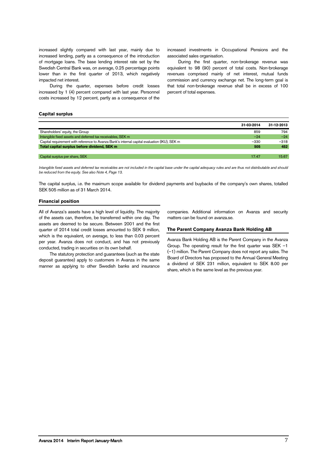increased slightly compared with last year, mainly due to increased lending, partly as a consequence of the introduction of mortgage loans. The base lending interest rate set by the Swedish Central Bank was, on average, 0.25 percentage points lower than in the first quarter of 2013, which negatively impacted net interest.

During the quarter, expenses before credit losses increased by 1 (4) percent compared with last year. Personnel costs increased by 12 percent, partly as a consequence of the

increased investments in Occupational Pensions and the associated sales organisation.

During the first quarter, non-brokerage revenue was equivalent to 98 (90) percent of total costs. Non-brokerage revenues comprised mainly of net interest, mutual funds commission and currency exchange net. The long-term goal is that total non-brokerage revenue shall be in excess of 100 percent of total expenses.

#### **Capital surplus**

|                                                                                              | 31-03-2014 | 31-12-2013 |
|----------------------------------------------------------------------------------------------|------------|------------|
| Shareholders' equity, the Group                                                              | 859        | 794        |
| Intangible fixed assets and deferred tax receivables, SEK m                                  | $-24$      | $-24$      |
| Capital requirement with reference to Avanza Bank's internal capital evaluation (IKU), SEK m | $-330$     | $-318$     |
| Total capital surplus before dividend, SEK m                                                 | 505        | 452        |
|                                                                                              |            |            |
| Capital surplus per share, SEK                                                               | 17.47      | 15.67      |

*Intangible fixed assets and deferred tax receivables are not included in the capital base under the capital adequacy rules and are thus not distributable and should be reduced from the equity. See also Note 4, Page [13.](#page-12-0)*

The capital surplus, i.e. the maximum scope available for dividend payments and buybacks of the company's own shares, totalled SEK 505 million as of 31 March 2014.

#### **Financial position**

All of Avanza's assets have a high level of liquidity. The majority of the assets can, therefore, be transferred within one day. The assets are deemed to be secure. Between 2001 and the first quarter of 2014 total credit losses amounted to SEK 9 million, which is the equivalent, on average, to less than 0.03 percent per year. Avanza does not conduct, and has not previously conducted, trading in securities on its own behalf.

The statutory protection and guarantees (such as the state deposit guarantee) apply to customers in Avanza in the same manner as applying to other Swedish banks and insurance

companies. Additional information on Avanza and security matters can be found on avanza.se.

#### **The Parent Company Avanza Bank Holding AB**

Avanza Bank Holding AB is the Parent Company in the Avanza Group. The operating result for the first quarter was SEK –1 (–1) million. The Parent Company does not report any sales. The Board of Directors has proposed to the Annual General Meeting a dividend of SEK 231 million, equivalent to SEK 8.00 per share, which is the same level as the previous year.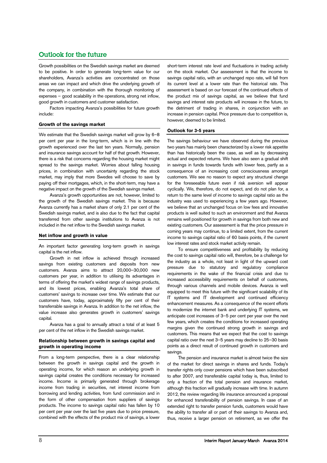# Outlook for the future

Growth possibilities on the Swedish savings market are deemed to be positive. In order to generate long-term value for our shareholders, Avanza's activities are concentrated on those areas we can impact and which drive the underlying growth of the company, in combination with the thorough monitoring of expenses – good scalability in the operations, strong net inflow, good growth in customers and customer satisfaction.

Factors impacting Avanza's possibilities for future growth include:

#### **Growth of the savings market**

We estimate that the Swedish savings market will grow by 6–8 per cent per year in the long-term, which is in line with the growth experienced over the last ten years. Normally, pension and insurance savings account for half of that growth. However, there is a risk that concerns regarding the housing market might spread to the savings market. Worries about falling housing prices, in combination with uncertainty regarding the stock market, may imply that more Swedes will choose to save by paying off their mortgages, which, in the short-term, may have a negative impact on the growth of the Swedish savings market.

Avanza's growth opportunities are not, however, limited to the growth of the Swedish savings market. This is because Avanza currently has a market share of only 2.1 per cent of the Swedish savings market, and is also due to the fact that capital transferred from other savings institutions to Avanza is not included in the net inflow to the Swedish savings market.

#### **Net inflow and growth in value**

An important factor generating long-term growth in savings capital is the net inflow.

Growth in net inflow is achieved through increased savings from existing customers and deposits from new customers. Avanza aims to attract 20,000–30,000 new customers per year, in addition to utilising its advantages in terms of offering the market's widest range of savings products, and its lowest prices, enabling Avanza's total share of customers' savings to increase over time. We estimate that our customers have, today, approximately fifty per cent of their transferrable savings in Avanza. In addition to the net inflow, the value increase also generates growth in customers' savings capital.

Avanza has a goal to annually attract a total of at least 5 per cent of the net inflow in the Swedish savings market.

#### **Relationship between growth in savings capital and growth in operating income**

From a long-term perspective, there is a clear relationship between the growth in savings capital and the growth in operating income, for which reason an underlying growth in savings capital creates the conditions necessary for increased income. Income is primarily generated through brokerage income from trading in securities, net interest income from borrowing and lending activities, from fund commission and in the form of other compensation from suppliers of savings products. The income to savings capital ratio has fallen by 10 per cent per year over the last five years due to price pressure, combined with the effects of the product mix of savings, a lower

short-term interest rate level and fluctuations in trading activity on the stock market. Our assessment is that the income to savings capital ratio, with an unchanged repo rate, will fall from its current level at a lower rate than the historical rate. This assessment is based on our forecast of the continued effects of the product mix of savings capital, as we believe that fund savings and interest rate products will increase in the future, to the detriment of trading in shares, in conjunction with an increase in pension capital. Price pressure due to competition is, however, deemed to be limited.

#### **Outlook for 3-5 years**

The savings behaviour we have observed during the previous two years has mainly been characterized by a lower risk appetite than has historically been the case, as well as by decreasing actual and expected returns. We have also seen a gradual shift in savings in funds towards funds with lower fees, partly as a consequence of an increasing cost consciousness amongst customers. We see no reason to expect any structural change for the foreseeable future even if risk aversion will appear cyclically. We, therefore, do not expect, and do not plan for, a return to the same level of income to savings capital ratio as the industry was used to experiencing a few years ago. However, we believe that an unchanged focus on low fees and innovative products is well suited to such an environment and that Avanza remains well positioned for growth in savings from both new and existing customers. Our assessment is that the price pressure in coming years may continue, to a limited extent, from the current income to savings capital ratio of 60 basis points, if the current low interest rates and stock market activity remain.

To ensure competitiveness and profitability by reducing the cost to savings capital ratio will, therefore, be a challenge for the industry as a whole, not least in light of the upward cost pressure due to statutory and regulatory compliance requirements in the wake of the financial crisis and due to increased accessibility requirements on behalf of customers, through various channels and mobile devices. Avanza is well equipped to meet this future with the significant scalability of its IT systems and IT development and continued efficiency enhancement measures. As a consequence of the recent efforts to modernize the internet bank and underlying IT systems, we anticipate cost increases of 3–5 per cent per year over the next few years, which creates the conditions for increased operating margins given the continued strong growth in savings and customers. This means that we expect that the cost to savings capital ratio over the next 3–5 years may decline to 25–30 basis points as a direct result of continued growth in customers and savings.

The pension and insurance market is almost twice the size of the market for direct savings in shares and funds. Today's transfer rights only cover pensions which have been subscribed to after 2007, and transferable capital today is, thus, limited to only a fraction of the total pension and insurance market, although this fraction will gradually increase with time. In autumn 2012, the review regarding life insurance announced a proposal for enhanced transferability of pension savings. In case of an extended right to transfer pension funds, customers would have the ability to transfer all or part of their savings to Avanza and, thus, receive a larger pension on retirement, as we offer the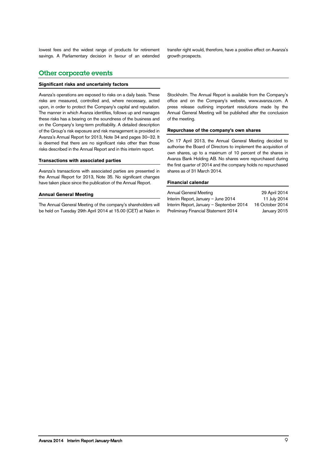lowest fees and the widest range of products for retirement savings. A Parliamentary decision in favour of an extended transfer right would, therefore, have a positive effect on Avanza's growth prospects.

## Other corporate events

#### **Significant risks and uncertainly factors**

Avanza's operations are exposed to risks on a daily basis. These risks are measured, controlled and, where necessary, acted upon, in order to protect the Company's capital and reputation. The manner in which Avanza identifies, follows up and manages these risks has a bearing on the soundness of the business and on the Company's long-term profitability. A detailed description of the Group's risk exposure and risk management is provided in Avanza's Annual Report for 2013, Note 34 and pages 30–32. It is deemed that there are no significant risks other than those risks described in the Annual Report and in this interim report.

#### **Transactions with associated parties**

Avanza's transactions with associated parties are presented in the Annual Report for 2013, Note 35. No significant changes have taken place since the publication of the Annual Report.

#### **Annual General Meeting**

The Annual General Meeting of the company's shareholders will be held on Tuesday 29th April 2014 at 15.00 (CET) at Nalen in Stockholm. The Annual Report is available from the Company's office and on the Company's website, www.avanza.com. A press release outlining important resolutions made by the Annual General Meeting will be published after the conclusion of the meeting.

#### **Repurchase of the company's own shares**

On 17 April 2013, the Annual General Meeting decided to authorise the Board of Directors to implement the acquisition of own shares, up to a maximum of 10 percent of the shares in Avanza Bank Holding AB. No shares were repurchased during the first quarter of 2014 and the company holds no repurchased shares as of 31 March 2014.

#### **Financial calendar**

| Annual General Meeting                   | 29 April 2014   |
|------------------------------------------|-----------------|
| Interim Report, January - June 2014      | 11 July 2014    |
| Interim Report, January - September 2014 | 16 October 2014 |
| Preliminary Financial Statement 2014     | January 2015    |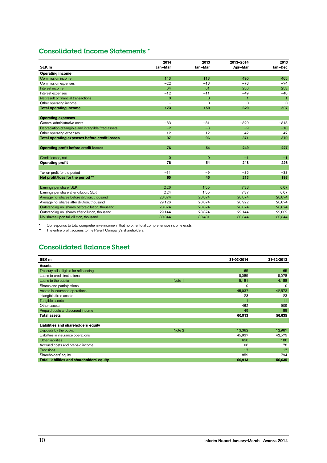# Consolidated Income Statements \*

|                                                      | 2014           | 2013        | 2013-2014 | 2013         |
|------------------------------------------------------|----------------|-------------|-----------|--------------|
| SEK <sub>m</sub>                                     | Jan-Mar        | Jan-Mar     | Apr-Mar   | Jan-Dec      |
| <b>Operating income</b>                              |                |             |           |              |
| Commission income                                    | 143            | 118         | 490       | 465          |
| Commission expenses                                  | $-22$          | $-18$       | $-78$     | $-74$        |
| Interest income                                      | 64             | 61          | 256       | 253          |
| Interest expenses                                    | $-12$          | $-11$       | $-49$     | $-48$        |
| Net result of financial transactions                 | $\mathbf 0$    | $\circ$     | 1         | $\mathbf{1}$ |
| Other operating income                               | $\overline{a}$ | $\Omega$    | 0         | $\mathbf 0$  |
| <b>Total operating income</b>                        | 173            | 150         | 620       | 597          |
|                                                      |                |             |           |              |
| <b>Operating expenses</b>                            |                |             |           |              |
| General administrative costs                         | $-83$          | $-81$       | $-320$    | $-318$       |
| Depreciation of tangible and intangible fixed assets | $-2$           | $-3$        | $-9$      | $-10$        |
| Other operating expenses                             | $-12$          | $-12$       | $-42$     | $-42$        |
| <b>Total operating expenses before credit losses</b> | $-97$          | $-96$       | $-371$    | $-370$       |
|                                                      |                |             |           |              |
| <b>Operating profit before credit losses</b>         | 76             | 54          | 249       | 227          |
|                                                      |                |             |           |              |
| Credit losses, net                                   | $\mathbf{O}$   | $\mathbf 0$ | $-1$      | $-1$         |
| <b>Operating profit</b>                              | 76             | 54          | 248       | 226          |
|                                                      |                |             |           |              |
| Tax on profit for the period                         | $-11$          | $-9$        | $-35$     | $-33$        |
| Net profit/loss for the period **                    | 65             | 45          | 213       | 193          |
|                                                      |                |             |           |              |
| Earnings per share, SEK                              | 2.26           | 1.55        | 7.38      | 6.67         |
| Earnings per share after dilution, SEK               | 2.24           | 1.55        | 7.37      | 6.67         |
| Average no. shares before dilution, thousand         | 28,874         | 28,874      | 28,874    | 28,874       |
| Average no. shares after dilution, thousand          | 29,126         | 28,874      | 28,922    | 28,874       |
| Outstanding no. shares before dilution, thousand     | 28,874         | 28,874      | 28,874    | 28,874       |
| Outstanding no. shares after dilution, thousand      | 29,144         | 28,874      | 29,144    | 29,009       |
| No. shares upon full dilution, thousand              | 30,344         | 30,431      | 30,344    | 30,344       |

\* Corresponds to total comprehensive income in that no other total comprehensive income exists.

\*\* The entire profit accrues to the Parent Company's shareholders.

# Consolidated Balance Sheet

| SEK <sub>m</sub>                           |        | 31-03-2014 | 31-12-2013 |
|--------------------------------------------|--------|------------|------------|
| <b>Assets</b>                              |        |            |            |
| Treasury bills eligible for refinancing    |        | 165        | 165        |
| Loans to credit institutions               |        | 9,085      | 9,078      |
| Loans to the public                        | Note 1 | 5,181      | 4,188      |
| Shares and participations                  |        | $\circ$    | 0          |
| Assets in insurance operations             |        | 45,937     | 42,573     |
| Intangible fixed assets                    |        | 23         | 23         |
| Tangible assets                            |        | 11         | 11         |
| Other assets                               |        | 462        | 509        |
| Prepaid costs and accrued income           |        | 49         | 88         |
| <b>Total assets</b>                        |        | 60,913     | 56,635     |
|                                            |        |            |            |
| Liabilities and shareholders' equity       |        |            |            |
| Deposits by the public                     | Note 2 | 13,382     | 12,987     |
| Liabilities in insurance operations        |        | 45,937     | 42,573     |
| <b>Other liabilities</b>                   |        | 650        | 186        |
| Accrued costs and prepaid income           |        | 68         | 78         |
| <b>Provisions</b>                          |        | 17         | 17         |
| Shareholders' equity                       |        | 859        | 794        |
| Total liabilities and shareholders' equity |        | 60,913     | 56,635     |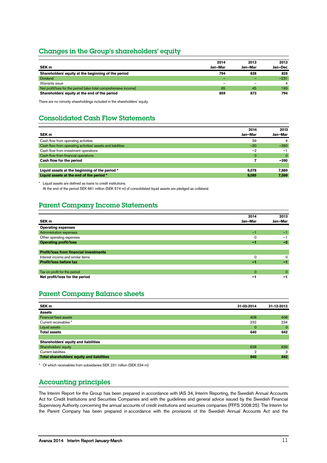## Changes in the Group's shareholders' equity

|                                                                  | 2014    | 2013    | 2013           |
|------------------------------------------------------------------|---------|---------|----------------|
| SEK <sub>m</sub>                                                 | Jan-Mar | Jan-Mar | Jan-Dec        |
| Shareholders' equity at the beginning of the period              | 794     | 828     | 828            |
| <b>Dividend</b>                                                  | -       |         | $-231$         |
| Warrants issue                                                   |         |         | $\overline{4}$ |
| Net profit/loss for the period (also total comprehensive income) | 65      | 45      | 193            |
| Shareholders' equity at the end of the period                    | 859     | 873     | 794            |

There are no minority shareholdings included in the shareholders' equity.

# Consolidated Cash Flow Statements

| SEK <sub>m</sub>                                            | 2014<br>Jan-Mar | 2013<br>Jan-Mar |
|-------------------------------------------------------------|-----------------|-----------------|
| Cash flow from operating activities                         | 39              | 4               |
| Cash flow from operating activities' assets and liabilities | $-30$           | $-393$          |
| Cash flow from investment operations                        | $-2$            | $-1$            |
| Cash flow from financial operations                         | 0               | $\Omega$        |
| Cash flow for the period                                    |                 | $-390$          |
|                                                             |                 |                 |
| Liquid assets at the beginning of the period *              | 9.078           | 7,989           |
| Liquid assets at the end of the period *                    | 9.085           | 7,599           |

\* Liquid assets are defined as loans to credit institutions.

At the end of the period SEK 661 million (SEK 574 m) of consolidated liquid assets are pledged as collateral.

# Parent Company Income Statements

|                                               | 2014     | 2013     |
|-----------------------------------------------|----------|----------|
| SEK <sub>m</sub>                              | Jan-Mar  | Jan-Mar  |
| <b>Operating expenses</b>                     |          |          |
| Administration expenses                       | $-1$     | $-1$     |
| Other operating expenses                      | 0        | $-1$     |
| <b>Operating profit/loss</b>                  | -1       | $-2$     |
|                                               |          |          |
| <b>Profit/loss from financial investments</b> |          |          |
| Interest income and similar items             | $\Omega$ | 0        |
| Profit/loss before tax                        | -1       | a f      |
|                                               |          |          |
| Tax on profit for the period                  | $\Omega$ | $\Omega$ |
| Net profit/loss for the period                | -1       | -1       |

# Parent Company Balance sheets

| SEK <sub>m</sub>                           | 31-03-2014 | 31-12-2013  |
|--------------------------------------------|------------|-------------|
| <b>Assets</b>                              |            |             |
| Financial fixed assets                     | 408        | 408         |
| Current receivables *                      | 232        | 234         |
| Liquid assets                              | $\circ$    | $\mathbf 0$ |
| <b>Total assets</b>                        | 640        | 642         |
|                                            |            |             |
| Shareholders' equity and liabilities       |            |             |
| Shareholders' equity                       | 638        | 639         |
| Current liabilities                        | 2          | 3           |
| Total shareholders' equity and liabilities | 640        | 642         |
|                                            |            |             |

\* Of which receivables from subsidiaries SEK 231 million (SEK 234 m).

# Accounting principles

The Interim Report for the Group has been prepared in accordance with IAS 34, Interim Reporting, the Swedish Annual Accounts Act for Credit Institutions and Securities Companies and with the guidelines and general advice issued by the Swedish Financial Supervisory Authority concerning the annual accounts of credit institutions and securities companies (FFFS 2008:25). The Interim for the Parent Company has been prepared in accordance with the provisions of the Swedish Annual Accounts Act and the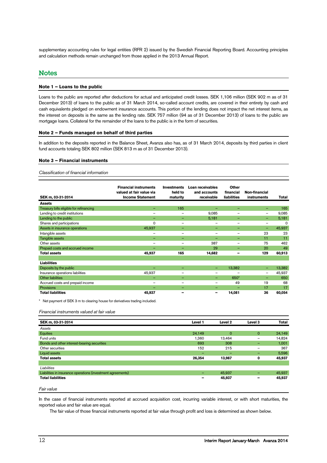supplementary accounting rules for legal entities (RFR 2) issued by the Swedish Financial Reporting Board. Accounting principles and calculation methods remain unchanged from those applied in the 2013 Annual Report.

### **Notes**

#### **Note 1 – Loans to the public**

Loans to the public are reported after deductions for actual and anticipated credit losses. SEK 1,106 million (SEK 902 m as of 31 December 2013) of loans to the public as of 31 March 2014, so-called account credits, are covered in their entirety by cash and cash equivalents pledged on endowment insurance accounts. This portion of the lending does not impact the net interest items, as the interest on deposits is the same as the lending rate. SEK 757 million (94 as of 31 December 2013) of loans to the public are mortgage loans. Collateral for the remainder of the loans to the public is in the form of securities.

#### **Note 2 – Funds managed on behalf of third parties**

In addition to the deposits reported in the Balance Sheet, Avanza also has, as of 31 March 2014, deposits by third parties in client fund accounts totaling SEK 802 million (SEK 813 m as of 31 December 2013).

#### **Note 3 – Financial instruments**

*Classification of financial information*

| SEK m, 03-31-2014                       | <b>Financial instruments</b><br>valued at fair value via<br><b>Income Statement</b> | <b>Investments</b><br>held to<br>maturity | Loan receivables<br>and accounts<br>receivable | Other<br>financial<br><b>liabilities</b> | Non-financial<br>instruments | <b>Total</b> |
|-----------------------------------------|-------------------------------------------------------------------------------------|-------------------------------------------|------------------------------------------------|------------------------------------------|------------------------------|--------------|
| <b>Assets</b>                           |                                                                                     |                                           |                                                |                                          |                              |              |
| Treasury bills eligible for refinancing |                                                                                     | 165                                       |                                                | -                                        |                              | 165          |
| Lending to credit institutions          | $\overline{\phantom{0}}$                                                            |                                           | 9,085                                          |                                          | —                            | 9,085        |
| Lending to the public                   | -                                                                                   |                                           | 5,181                                          | -                                        | -                            | 5,181        |
| Shares and participations               | $\mathbf 0$                                                                         | -                                         |                                                | -                                        | -                            | $\Omega$     |
| Assets in insurance operations          | 45,937                                                                              | -                                         | -                                              | -                                        | -                            | 45,937       |
| Intangible assets                       | $\qquad \qquad$                                                                     | $\overline{\phantom{0}}$                  | —                                              |                                          | 23                           | 23           |
| Tangible assets                         | -                                                                                   | -                                         |                                                | -                                        | 11                           | 11           |
| Other assets                            | $\qquad \qquad$                                                                     | $\overline{\phantom{0}}$                  | 387                                            |                                          | 75                           | 462          |
| Prepaid costs and accrued income        | -                                                                                   | -                                         | 29                                             | -                                        | 20                           | 49           |
| <b>Total assets</b>                     | 45,937                                                                              | 165                                       | 14,682                                         | -                                        | 129                          | 60,913       |
|                                         |                                                                                     |                                           |                                                |                                          |                              |              |
| <b>Liabilities</b>                      |                                                                                     |                                           |                                                |                                          |                              |              |
| Deposits by the public                  | $\overline{\phantom{0}}$                                                            | $\overline{\phantom{0}}$                  |                                                | 13,382                                   | -                            | 13,382       |
| Insurance operations liabilities        | 45,937                                                                              | $\qquad \qquad$                           | —                                              | -                                        | $\overline{\phantom{0}}$     | 45,937       |
| <b>Other liabilities</b>                | $\overline{\phantom{0}}$                                                            | -                                         | -                                              | 650*                                     | $\overline{\phantom{0}}$     | 650          |
| Accrued costs and prepaid income        |                                                                                     | $\overline{\phantom{0}}$                  | —                                              | 49                                       | 19                           | 68           |
| Provisions                              | $\overline{\phantom{0}}$                                                            | -                                         | -                                              | ۰                                        | 17                           | 17           |
| <b>Total liabilities</b>                | 45,937                                                                              | -                                         | -                                              | 14,081                                   | 36                           | 60,054       |

\* Net payment of SEK 3 m to clearing house for derivatives trading included.

#### *Financial instruments valued at fair value*

| SEK m, 03-31-2014                                           | Level 1 | Level <sub>2</sub> | Level 3                  | <b>Total</b> |
|-------------------------------------------------------------|---------|--------------------|--------------------------|--------------|
| Assets                                                      |         |                    |                          |              |
| Equities                                                    | 24,149  | $\Omega$           | $\mathbf{0}$             | 24,149       |
| Fund units                                                  | 1,360   | 13.464             | $\overline{\phantom{0}}$ | 14,824       |
| Bonds and other interest-bearing securities                 | 693     | 308                | -                        | 1,001        |
| Other securities                                            | 152     | 215                | -                        | 367          |
| Liquid assets                                               | -       | -                  | -                        | 5,596        |
| <b>Total assets</b>                                         | 26,354  | 13,987             | 0                        | 45,937       |
|                                                             |         |                    |                          |              |
| Liabilities                                                 |         |                    |                          |              |
| Liabilities in insurance operations (investment agreements) | -       | 45,937             | -                        | 45,937       |
| <b>Total liabilities</b>                                    |         | 45,937             | -                        | 45,937       |
|                                                             |         |                    |                          |              |

*Fair value*

In the case of financial instruments reported at accrued acquisition cost, incurring variable interest, or with short maturities, the reported value and fair value are equal.

The fair value of those financial instruments reported at fair value through profit and loss is determined as shown below.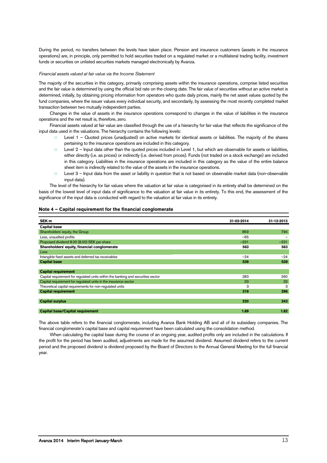During the period, no transfers between the levels have taken place. Pension and insurance customers (assets in the insurance operations) are, in principle, only permitted to hold securities traded on a regulated market or a multilateral trading facility, investment funds or securities on unlisted securities markets managed electronically by Avanza.

#### *Financial assets valued at fair value via the Income Statement*

The majority of the securities in this category, primarily comprising assets within the insurance operations, comprise listed securities and the fair value is determined by using the official bid rate on the closing date. The fair value of securities without an active market is determined, initially, by obtaining pricing information from operators who quote daily prices, mainly the net asset values quoted by the fund companies, where the issuer values every individual security, and secondarily, by assessing the most recently completed market transaction between two mutually independent parties.

Changes in the value of assets in the insurance operations correspond to changes in the value of liabilities in the insurance operations and the net result is, therefore, zero.

Financial assets valued at fair value are classified through the use of a hierarchy for fair value that reflects the significance of the input data used in the valuations. The hierarchy contains the following levels:

- □ Level 1 Quoted prices (unadjusted) on active markets for identical assets or liabilities. The majority of the shares pertaining to the insurance operations are included in this category.
- $\Box$  Level  $2$  Input data other than the quoted prices included in Level 1, but which are observable for assets or liabilities, either directly (i.e. as prices) or indirectly (i.e. derived from prices). Funds (not traded on a stock exchange) are included in this category. Liabilities in the insurance operations are included in this category as the value of the entire balance sheet item is indirectly related to the value of the assets in the insurance operations.
- □ Level 3 Input data from the asset or liability in question that is not based on observable market data (non-observable input data).

The level of the hierarchy for fair values where the valuation at fair value is categorised in its entirety shall be determined on the basis of the lowest level of input data of significance to the valuation at fair value in its entirety. To this end, the assessment of the significance of the input data is conducted with regard to the valuation at fair value in its entirety.

| SEK <sub>m</sub>                                                                 | 31-03-2014 | 31-12-2013 |
|----------------------------------------------------------------------------------|------------|------------|
| <b>Capital base</b>                                                              |            |            |
| Shareholders' equity, the Group                                                  | 859        | 794        |
| Less, unaudited profits                                                          | $-65$      |            |
| Proposed dividend 8.00 (8.00) SEK per share                                      | $-231$     | $-231$     |
| Shareholders' equity, financial conglomerate                                     | 563        | 563        |
| Less                                                                             |            |            |
| Intangible fixed assets and deferred tax receivables                             | $-24$      | $-24$      |
| <b>Capital base</b>                                                              | 539        | 539        |
|                                                                                  |            |            |
| <b>Capital requirement</b>                                                       |            |            |
| Capital requirement for regulated units within the banking and securities sector | 283        | 260        |
| Capital requirement for regulated units in the insurance sector                  | 33         | 33         |
| Theoretical capital requirements for non-regulated units                         | 3          | 3          |
| <b>Capital requirement</b>                                                       | 319        | 296        |
|                                                                                  |            |            |
| <b>Capital surplus</b>                                                           | 220        | 243        |
|                                                                                  |            |            |
| <b>Capital base/Capital requirement</b>                                          | 1.69       | 1.82       |

#### <span id="page-12-0"></span>**Note 4 – Capital requirement for the financial conglomerate**

The above table refers to the financial conglomerate, including Avanza Bank Holding AB and all of its subsidiary companies. The financial conglomerate's capital base and capital requirement have been calculated using the consolidation method.

When calculating the capital base during the course of an ongoing year, audited profits only are included in the calculations. If the profit for the period has been audited, adjustments are made for the assumed dividend. Assumed dividend refers to the current period and the proposed dividend is dividend proposed by the Board of Directors to the Annual General Meeting for the full financial year.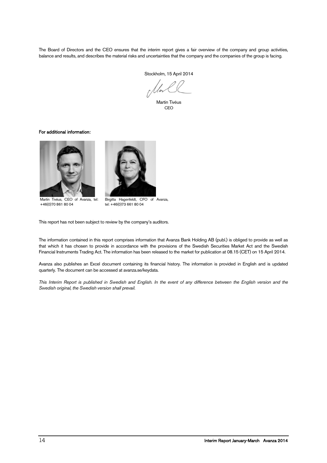The Board of Directors and the CEO ensures that the interim report gives a fair overview of the company and group activities, balance and results, and describes the material risks and uncertainties that the company and the companies of the group is facing.

Stockholm, 15 April 2014

Martin Tivéus CEO

#### For additional information:





 Martin Tivéus, CEO of Avanza, tel: +46(0)70 861 80 04

Birgitta Hagenfeldt, CFO of Avanza, tel: +46(0)73 661 80 04

This report has not been subject to review by the company's auditors.

The information contained in this report comprises information that Avanza Bank Holding AB (publ.) is obliged to provide as well as that which it has chosen to provide in accordance with the provisions of the Swedish Securities Market Act and the Swedish Financial Instruments Trading Act. The information has been released to the market for publication at 08.15 (CET) on 15 April 2014.

Avanza also publishes an Excel document containing its financial history. The information is provided in English and is updated quarterly. The document can be accessed at avanza.se/keydata.

*This Interim Report is published in Swedish and English. In the event of any difference between the English version and the Swedish original, the Swedish version shall prevail.*